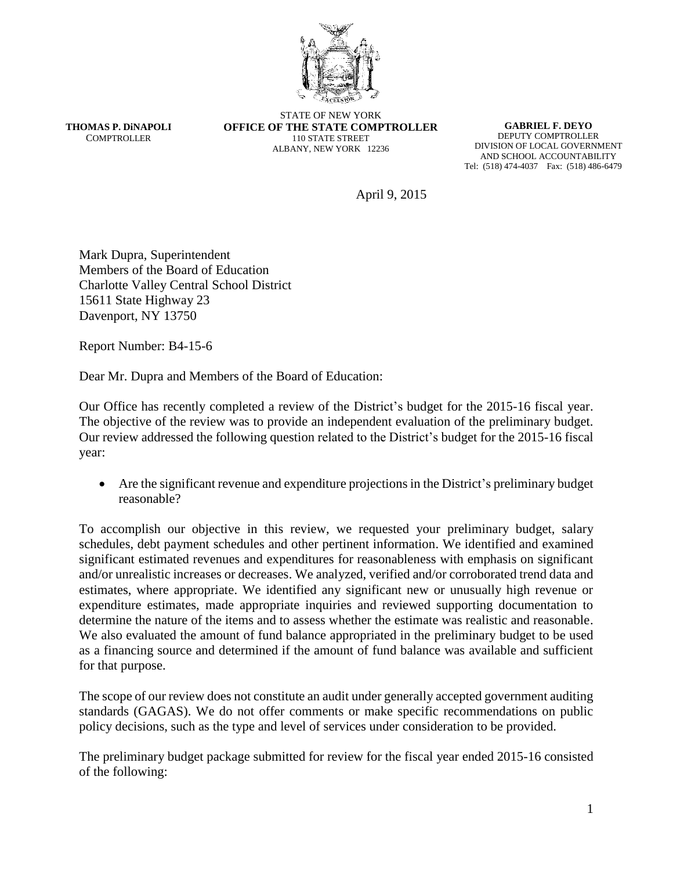

**THOMAS P. DiNAPOLI COMPTROLLER** 

STATE OF NEW YORK **OFFICE OF THE STATE COMPTROLLER** 110 STATE STREET ALBANY, NEW YORK 12236

**GABRIEL F. DEYO** DEPUTY COMPTROLLER DIVISION OF LOCAL GOVERNMENT AND SCHOOL ACCOUNTABILITY Tel: (518) 474-4037 Fax: (518) 486-6479

April 9, 2015

Mark Dupra, Superintendent Members of the Board of Education Charlotte Valley Central School District 15611 State Highway 23 Davenport, NY 13750

Report Number: B4-15-6

Dear Mr. Dupra and Members of the Board of Education:

Our Office has recently completed a review of the District's budget for the 2015-16 fiscal year. The objective of the review was to provide an independent evaluation of the preliminary budget. Our review addressed the following question related to the District's budget for the 2015-16 fiscal year:

 Are the significant revenue and expenditure projections in the District's preliminary budget reasonable?

To accomplish our objective in this review, we requested your preliminary budget, salary schedules, debt payment schedules and other pertinent information. We identified and examined significant estimated revenues and expenditures for reasonableness with emphasis on significant and/or unrealistic increases or decreases. We analyzed, verified and/or corroborated trend data and estimates, where appropriate. We identified any significant new or unusually high revenue or expenditure estimates, made appropriate inquiries and reviewed supporting documentation to determine the nature of the items and to assess whether the estimate was realistic and reasonable. We also evaluated the amount of fund balance appropriated in the preliminary budget to be used as a financing source and determined if the amount of fund balance was available and sufficient for that purpose.

The scope of our review does not constitute an audit under generally accepted government auditing standards (GAGAS). We do not offer comments or make specific recommendations on public policy decisions, such as the type and level of services under consideration to be provided.

The preliminary budget package submitted for review for the fiscal year ended 2015-16 consisted of the following: